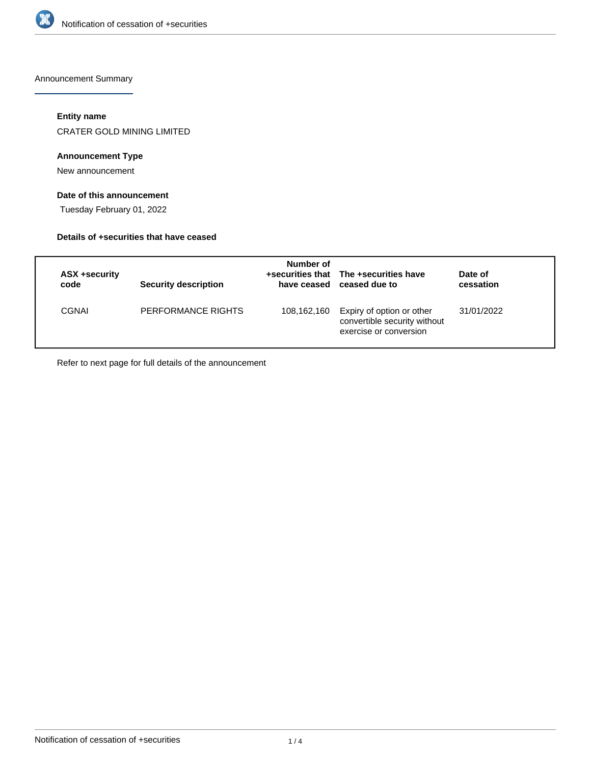

Announcement Summary

## **Entity name**

CRATER GOLD MINING LIMITED

## **Announcement Type**

New announcement

# **Date of this announcement**

Tuesday February 01, 2022

#### **Details of +securities that have ceased**

| ASX +security<br>code | <b>Security description</b> | Number of   | +securities that The +securities have<br>have ceased ceased due to                  | Date of<br>cessation |
|-----------------------|-----------------------------|-------------|-------------------------------------------------------------------------------------|----------------------|
| CGNAI                 | PERFORMANCE RIGHTS          | 108,162,160 | Expiry of option or other<br>convertible security without<br>exercise or conversion | 31/01/2022           |

Refer to next page for full details of the announcement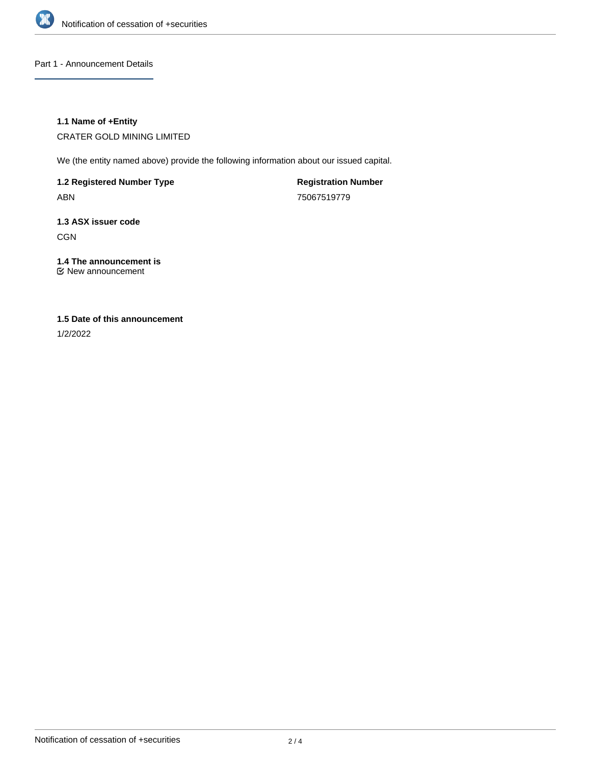

Part 1 - Announcement Details

## **1.1 Name of +Entity**

CRATER GOLD MINING LIMITED

We (the entity named above) provide the following information about our issued capital.

**1.2 Registered Number Type** ABN

**Registration Number** 75067519779

**1.3 ASX issuer code CGN** 

**1.4 The announcement is** New announcement

# **1.5 Date of this announcement**

1/2/2022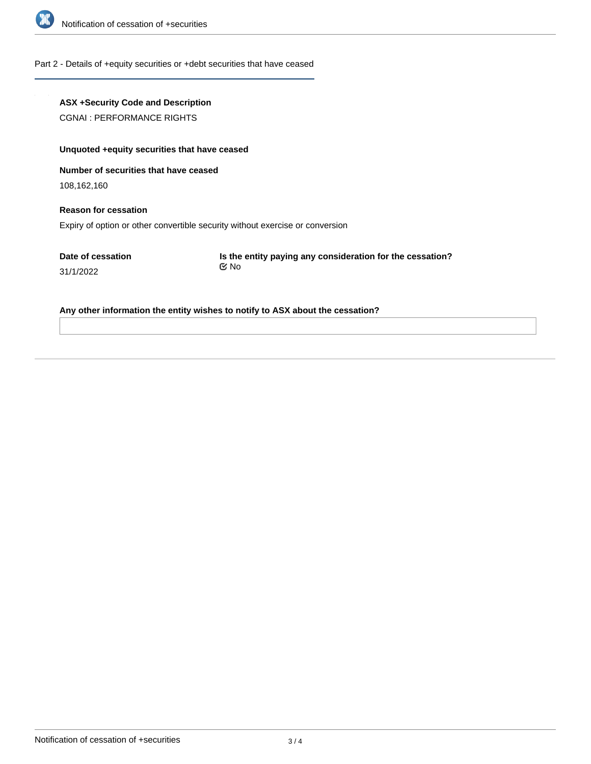

#### Part 2 - Details of +equity securities or +debt securities that have ceased

# **ASX +Security Code and Description**

CGNAI : PERFORMANCE RIGHTS

# **Unquoted +equity securities that have ceased**

**Number of securities that have ceased**

108,162,160

# **Reason for cessation** Expiry of option or other convertible security without exercise or conversion

**Date of cessation**

31/1/2022

**Is the entity paying any consideration for the cessation?** No

#### **Any other information the entity wishes to notify to ASX about the cessation?**